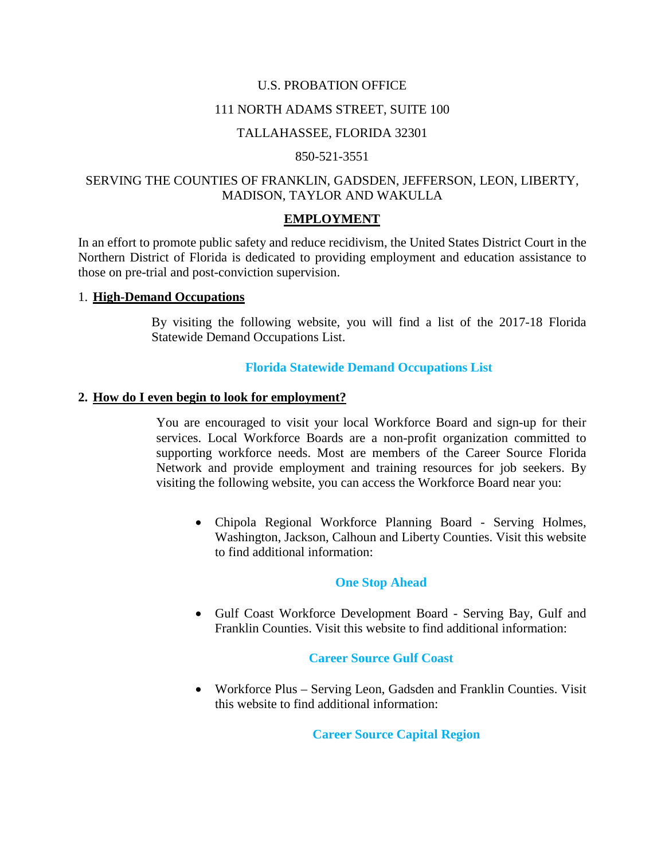#### U.S. PROBATION OFFICE

#### 111 NORTH ADAMS STREET, SUITE 100

#### TALLAHASSEE, FLORIDA 32301

#### 850-521-3551

### SERVING THE COUNTIES OF FRANKLIN, GADSDEN, JEFFERSON, LEON, LIBERTY, MADISON, TAYLOR AND WAKULLA

#### **EMPLOYMENT**

In an effort to promote public safety and reduce recidivism, the United States District Court in the Northern District of Florida is dedicated to providing employment and education assistance to those on pre-trial and post-conviction supervision.

### 1. **High-Demand Occupations**

By visiting the following website, you will find a list of the 2017-18 Florida Statewide Demand Occupations List.

### **[Florida Statewide Demand Occupations List](http://www.floridajobs.org/labor-market-information/publications-and-reports/labor-market-information-reports/regional-demand-occupations-list)**

#### **2. How do I even begin to look for employment?**

You are encouraged to visit your local Workforce Board and sign-up for their services. Local Workforce Boards are a non-profit organization committed to supporting workforce needs. Most are members of the Career Source Florida Network and provide employment and training resources for job seekers. By visiting the following website, you can access the Workforce Board near you:

• Chipola Regional Workforce Planning Board - Serving Holmes, Washington, Jackson, Calhoun and Liberty Counties. Visit this website to find additional information:

#### **[One Stop Ahead](http://www.onestopahead.com/)**

• Gulf Coast Workforce Development Board - Serving Bay, Gulf and Franklin Counties. Visit this website to find additional information:

#### **[Career Source Gulf Coast](http://careersourcegc.com/)**

• Workforce Plus – Serving Leon, Gadsden and Franklin Counties. Visit this website to find additional information:

### **[Career Source Capital Region](http://www.careersourcecapitalregion.com/)**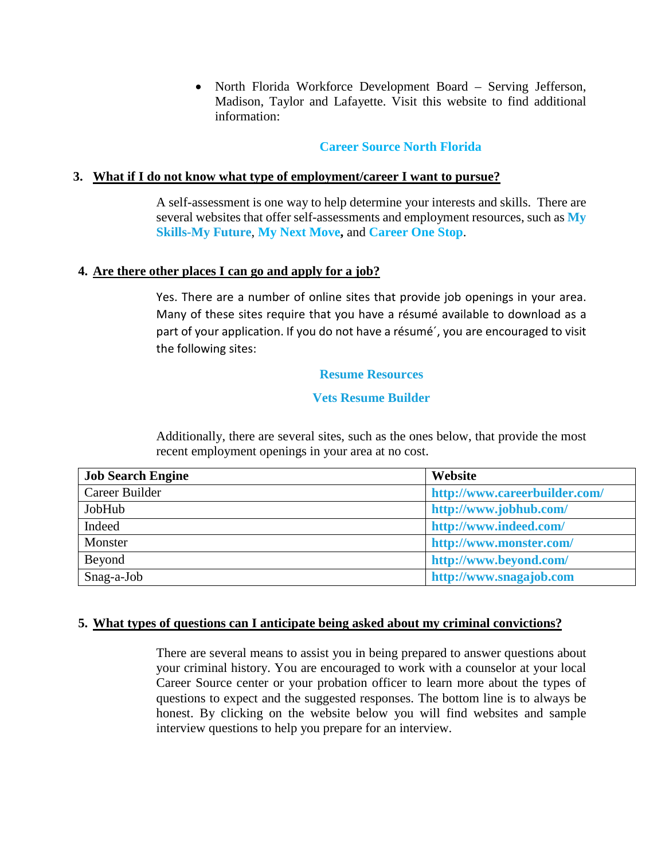• North Florida Workforce Development Board – Serving Jefferson, Madison, Taylor and Lafayette. Visit this website to find additional information:

## **[Career Source North Florida](http://www.careersourcenorthflorida.com/)**

## **3. What if I do not know what type of employment/career I want to pursue?**

A self-assessment is one way to help determine your interests and skills. There are several websites that offer self-assessments and employment resources, such as **[My](http://www.myskillsmyfuture.org/)  [Skills-My Future](http://www.myskillsmyfuture.org/)**, **[My Next Move,](http://www.mynextmove.org/)** and **[Career One Stop](http://www.careeronestop.org/)**.

## **4. Are there other places I can go and apply for a job?**

Yes. There are a number of online sites that provide job openings in your area. Many of these sites require that you have a résumé available to download as a part of your application. If you do not have a résumé´, you are encouraged to visit the following sites:

### **[Resume Resources](http://www.dummies.com/careers/find-a-job/resumes/resume-tips-for-ex-offenders/)**

## **[Vets Resume Builder](https://vetsresumebuilder.appspot.com/)**

Additionally, there are several sites, such as the ones below, that provide the most recent employment openings in your area at no cost.

| <b>Job Search Engine</b> | Website                       |
|--------------------------|-------------------------------|
| Career Builder           | http://www.careerbuilder.com/ |
| JobHub                   | http://www.jobhub.com/        |
| Indeed                   | http://www.indeed.com/        |
| Monster                  | http://www.monster.com/       |
| Beyond                   | http://www.beyond.com/        |
| Snag-a-Job               | http://www.snagajob.com       |

## **5. What types of questions can I anticipate being asked about my criminal convictions?**

There are several means to assist you in being prepared to answer questions about your criminal history. You are encouraged to work with a counselor at your local Career Source center or your probation officer to learn more about the types of questions to expect and the suggested responses. The bottom line is to always be honest. By clicking on the website below you will find websites and sample interview questions to help you prepare for an interview.